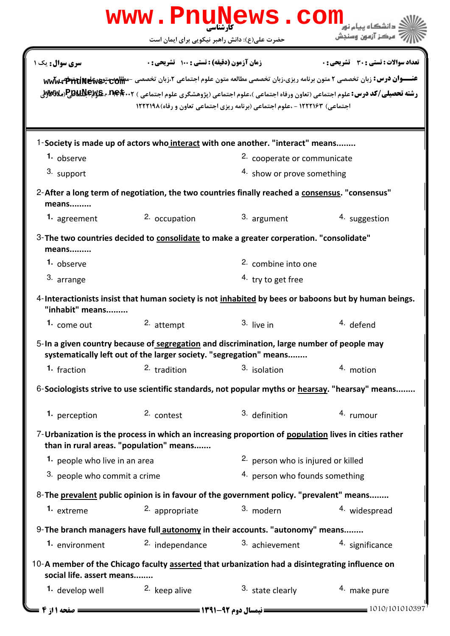|                                                                                                                              | www.PnuNews.com                                                                                                                                                  |                                                                             |                                                                                                                                                                                                                                                                                                                                      |  |  |
|------------------------------------------------------------------------------------------------------------------------------|------------------------------------------------------------------------------------------------------------------------------------------------------------------|-----------------------------------------------------------------------------|--------------------------------------------------------------------------------------------------------------------------------------------------------------------------------------------------------------------------------------------------------------------------------------------------------------------------------------|--|--|
|                                                                                                                              | حضرت علی(ع): دانش راهبر نیکویی برای ایمان است                                                                                                                    |                                                                             | ' مرڪز آزمون وسنڊش                                                                                                                                                                                                                                                                                                                   |  |  |
| سری سوال : یک ۱                                                                                                              | زمان آزمون (دقیقه) : تستی : 100 تشریحی : 0                                                                                                                       | اجتماعی) ۱۲۲۲۱۶۳ - ،علوم اجتماعی (برنامه ریزی اجتماعی تعاون و رفاه) ۱۲۲۲۱۹۸ | <b>تعداد سوالات : تستي : 30 ٪ تشريحي : 0</b><br>عنـــوان درس: زبان تخصصی ۲ متون برنامه ریزی،زبان تخصصی مطالعه متون علوم اجتماعی ۲،زبان تخصصی -مطالعهمتعه <del>و دو www و ت</del><br><b>رشته تحصیلی/کد درس:</b> علوم اجتماعی (تعاون ورفاه اجتماعی )،علوم اجتماعی (پژوهشگری علوم اجتماعی ) P <b>auNeyg ، net</b> (م <b>لا الله</b> جر) |  |  |
|                                                                                                                              | 1-Society is made up of actors who interact with one another. "interact" means                                                                                   |                                                                             |                                                                                                                                                                                                                                                                                                                                      |  |  |
| 1. observe                                                                                                                   |                                                                                                                                                                  | 2. cooperate or communicate                                                 |                                                                                                                                                                                                                                                                                                                                      |  |  |
| 3. support                                                                                                                   | 4. show or prove something                                                                                                                                       |                                                                             |                                                                                                                                                                                                                                                                                                                                      |  |  |
| means                                                                                                                        | 2-After a long term of negotiation, the two countries finally reached a consensus. "consensus"                                                                   |                                                                             |                                                                                                                                                                                                                                                                                                                                      |  |  |
| 1. agreement                                                                                                                 | 2. occupation                                                                                                                                                    | 3. argument                                                                 | 4. suggestion                                                                                                                                                                                                                                                                                                                        |  |  |
| means                                                                                                                        | 3- The two countries decided to consolidate to make a greater corperation. "consolidate"                                                                         |                                                                             |                                                                                                                                                                                                                                                                                                                                      |  |  |
| 1. observe                                                                                                                   |                                                                                                                                                                  | <sup>2.</sup> combine into one                                              |                                                                                                                                                                                                                                                                                                                                      |  |  |
| 3. arrange                                                                                                                   |                                                                                                                                                                  | <sup>4</sup> try to get free                                                |                                                                                                                                                                                                                                                                                                                                      |  |  |
| "inhabit" means                                                                                                              | 4-Interactionists insist that human society is not inhabited by bees or baboons but by human beings.                                                             |                                                                             |                                                                                                                                                                                                                                                                                                                                      |  |  |
| 1. come out                                                                                                                  | 2. attempt                                                                                                                                                       | $3.$ live in                                                                | <sup>4.</sup> defend                                                                                                                                                                                                                                                                                                                 |  |  |
|                                                                                                                              | 5-In a given country because of segregation and discrimination, large number of people may<br>systematically left out of the larger society. "segregation" means |                                                                             |                                                                                                                                                                                                                                                                                                                                      |  |  |
| 1. fraction                                                                                                                  | <sup>2</sup> tradition                                                                                                                                           | 3. isolation                                                                | 4. motion                                                                                                                                                                                                                                                                                                                            |  |  |
| 6-Sociologists strive to use scientific standards, not popular myths or hearsay. "hearsay" means                             |                                                                                                                                                                  |                                                                             |                                                                                                                                                                                                                                                                                                                                      |  |  |
| 1. perception                                                                                                                | 2. contest                                                                                                                                                       | 3. definition                                                               | 4. rumour                                                                                                                                                                                                                                                                                                                            |  |  |
|                                                                                                                              | 7-Urbanization is the process in which an increasing proportion of population lives in cities rather<br>than in rural areas. "population" means                  |                                                                             |                                                                                                                                                                                                                                                                                                                                      |  |  |
| <sup>1</sup> people who live in an area                                                                                      |                                                                                                                                                                  | <sup>2.</sup> person who is injured or killed                               |                                                                                                                                                                                                                                                                                                                                      |  |  |
| 3. people who commit a crime                                                                                                 |                                                                                                                                                                  |                                                                             | 4. person who founds something                                                                                                                                                                                                                                                                                                       |  |  |
|                                                                                                                              | 8- The prevalent public opinion is in favour of the government policy. "prevalent" means                                                                         |                                                                             |                                                                                                                                                                                                                                                                                                                                      |  |  |
| 1. extreme                                                                                                                   | 2. appropriate                                                                                                                                                   | 3. modern                                                                   | 4. widespread                                                                                                                                                                                                                                                                                                                        |  |  |
|                                                                                                                              | 9- The branch managers have full autonomy in their accounts. "autonomy" means                                                                                    |                                                                             |                                                                                                                                                                                                                                                                                                                                      |  |  |
| 1. environment                                                                                                               | 2. independance                                                                                                                                                  | 3. achievement                                                              | 4. significance                                                                                                                                                                                                                                                                                                                      |  |  |
| 10-A member of the Chicago faculty asserted that urbanization had a disintegrating influence on<br>social life. assert means |                                                                                                                                                                  |                                                                             |                                                                                                                                                                                                                                                                                                                                      |  |  |
| 1. develop well                                                                                                              | <sup>2.</sup> keep alive                                                                                                                                         | 3. state clearly                                                            | 4. make pure                                                                                                                                                                                                                                                                                                                         |  |  |
| صفحه ۱۱: ۲                                                                                                                   |                                                                                                                                                                  | = نیمسال دوم 92-1391 <del>- - - -</del>                                     | 1010/101010397                                                                                                                                                                                                                                                                                                                       |  |  |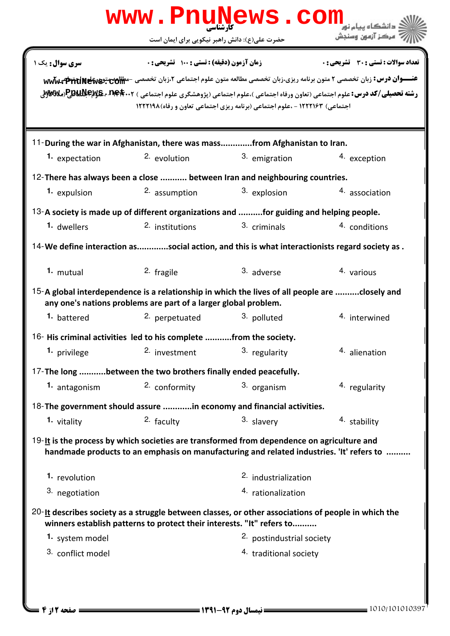|                       | www.PnuNews.com                                                                                                                                                                        |                                                                            |                                                                                                                                                                                                                                                                                                             |
|-----------------------|----------------------------------------------------------------------------------------------------------------------------------------------------------------------------------------|----------------------------------------------------------------------------|-------------------------------------------------------------------------------------------------------------------------------------------------------------------------------------------------------------------------------------------------------------------------------------------------------------|
|                       | حضرت علی(ع): دانش راهبر نیکویی برای ایمان است                                                                                                                                          |                                                                            | َ مرڪز آزمون وسنڊش                                                                                                                                                                                                                                                                                          |
| <b>سری سوال:</b> یک ۱ | زمان آزمون (دقیقه) : تستی : 100 تشریحی : 0                                                                                                                                             | اجتماعی) ۱۲۲۲۱۶۳ - ،علوم اجتماعی (برنامه ریزی اجتماعی تعاون و رفاه)۱۲۲۲۱۹۸ | <b>تعداد سوالات : تستی : 30 ٪ تشریحی : 0</b><br>عنـــوان درس: زبان تخصصی ۲ متون برنامه ریزی،زبان تخصصی مطالعه متون علوم اجتماعی ۲،زبان تخصصی -مطالعهمتونی www<br><b>رشته تحصیلی/کد درس:</b> علوم اجتماعی (تعاون ورفاه اجتماعی )،علوم اجتماعی (پژوهشگری علوم اجتماعی ) P <b>auNexe ، net</b> . ۲ وPauNe (ملا |
|                       | 11-During the war in Afghanistan, there was massfrom Afghanistan to Iran.                                                                                                              |                                                                            |                                                                                                                                                                                                                                                                                                             |
| 1. expectation        | 2. evolution                                                                                                                                                                           | 3. emigration                                                              | 4. exception                                                                                                                                                                                                                                                                                                |
|                       | 12-There has always been a close  between Iran and neighbouring countries.                                                                                                             |                                                                            |                                                                                                                                                                                                                                                                                                             |
| 1. expulsion          | 2. assumption                                                                                                                                                                          | 3. explosion                                                               | 4. association                                                                                                                                                                                                                                                                                              |
|                       | 13-A society is made up of different organizations and for guiding and helping people.                                                                                                 |                                                                            |                                                                                                                                                                                                                                                                                                             |
| 1. dwellers           | <sup>2.</sup> institutions                                                                                                                                                             | 3. criminals                                                               | 4. conditions                                                                                                                                                                                                                                                                                               |
|                       | 14-We define interaction associal action, and this is what interactionists regard society as .                                                                                         |                                                                            |                                                                                                                                                                                                                                                                                                             |
| 1. mutual             | 2. fragile                                                                                                                                                                             | 3. adverse                                                                 | 4. various                                                                                                                                                                                                                                                                                                  |
|                       | 15-A global interdependence is a relationship in which the lives of all people are closely and<br>any one's nations problems are part of a larger global problem.                      |                                                                            |                                                                                                                                                                                                                                                                                                             |
| 1. battered           | 2. perpetuated                                                                                                                                                                         | 3. polluted                                                                | 4. interwined                                                                                                                                                                                                                                                                                               |
|                       | $16$ - His criminal activities led to his complete  from the society.                                                                                                                  |                                                                            |                                                                                                                                                                                                                                                                                                             |
| 1. privilege          | 2. investment                                                                                                                                                                          | 3. regularity                                                              | 4. alienation                                                                                                                                                                                                                                                                                               |
|                       | 17-The long between the two brothers finally ended peacefully.                                                                                                                         |                                                                            |                                                                                                                                                                                                                                                                                                             |
| 1. antagonism         | 2. conformity                                                                                                                                                                          | 3. organism                                                                | 4. regularity                                                                                                                                                                                                                                                                                               |
|                       | 18-The government should assure in economy and financial activities.                                                                                                                   |                                                                            |                                                                                                                                                                                                                                                                                                             |
| 1. vitality           | 2. faculty                                                                                                                                                                             | 3. slavery                                                                 | 4. stability                                                                                                                                                                                                                                                                                                |
|                       | 19-It is the process by which societies are transformed from dependence on agriculture and<br>handmade products to an emphasis on manufacturing and related industries. 'It' refers to |                                                                            |                                                                                                                                                                                                                                                                                                             |
| 1. revolution         |                                                                                                                                                                                        | <sup>2.</sup> industrialization                                            |                                                                                                                                                                                                                                                                                                             |
| 3. negotiation        |                                                                                                                                                                                        | 4. rationalization                                                         |                                                                                                                                                                                                                                                                                                             |
|                       | $20$ -It describes society as a struggle between classes, or other associations of people in which the<br>winners establish patterns to protect their interests. "It" refers to        |                                                                            |                                                                                                                                                                                                                                                                                                             |
| 1. system model       |                                                                                                                                                                                        | 2. postindustrial society                                                  |                                                                                                                                                                                                                                                                                                             |
| 3. conflict model     |                                                                                                                                                                                        | 4. traditional society                                                     |                                                                                                                                                                                                                                                                                                             |
| صفحه 12; 4 =          |                                                                                                                                                                                        |                                                                            | 1010/101010397                                                                                                                                                                                                                                                                                              |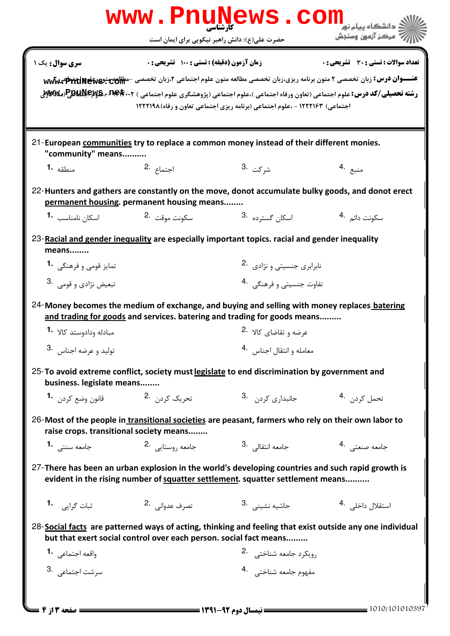|                                         |                                                                                                              | www.PnuNews.com                                                                                                                                                                     |                                                                                                                                                                                                                                                                                                          |  |  |
|-----------------------------------------|--------------------------------------------------------------------------------------------------------------|-------------------------------------------------------------------------------------------------------------------------------------------------------------------------------------|----------------------------------------------------------------------------------------------------------------------------------------------------------------------------------------------------------------------------------------------------------------------------------------------------------|--|--|
|                                         | حضرت علی(ع): دانش راهبر نیکویی برای ایمان است                                                                |                                                                                                                                                                                     | مركز آزمون وسنجش                                                                                                                                                                                                                                                                                         |  |  |
| سری سوال: یک ۱                          | زمان آزمون (دقيقه) : تستى : 100 تشريحي : 0                                                                   | اجتماعی) ۱۲۲۲۱۶۳ - ،علوم اجتماعی (برنامه ریزی اجتماعی تعاون و رفاه)۱۲۲۲۱۹۸                                                                                                          | تعداد سوالات : تستي : 30 - تشريحي : 0<br>عنـــوان درس: زبان تخصصی ۲ متون برنامه ریزی،زبان تخصصی مطالعه متون علوم اجتماعی ۲،زبان تخصصی -مطالعهمتعهای و اکتولی کلیس<br><b>رشته تحصیلی/کد درس:</b> علوم اجتماعی (تعاون ورفاه اجتماعی )،علوم اجتماعی (پژوهشگری علوم اجتماعی ) <b>P.G.Wex و P.B.Wex (می R</b> |  |  |
| "community" means                       |                                                                                                              | 21-European communities try to replace a common money instead of their different monies.                                                                                            |                                                                                                                                                                                                                                                                                                          |  |  |
| منطقه <b>1.</b>                         | 2. اجتماع                                                                                                    | شركت .3                                                                                                                                                                             | منبع .4                                                                                                                                                                                                                                                                                                  |  |  |
| اسکان نامناسب <b>-1</b>                 | permanent housing. permanent housing means<br>سكونت موقت 2.                                                  | 22-Hunters and gathers are constantly on the move, donot accumulate bulky goods, and donot erect<br>اسکان گست <sub>ر</sub> ده <sup>.3</sup>                                         | سكونت دائم <sup>.4</sup>                                                                                                                                                                                                                                                                                 |  |  |
| means                                   |                                                                                                              | 23-Racial and gender inequality are especially important topics. racial and gender inequality                                                                                       |                                                                                                                                                                                                                                                                                                          |  |  |
| تمایز قومی و فرهنگی <b>1</b> ۰          |                                                                                                              |                                                                                                                                                                                     | نابرابری جنسیتی و نژادی 2.                                                                                                                                                                                                                                                                               |  |  |
| تبعيض نژادي و قومي .3                   |                                                                                                              | تفاوت جنسیتی و فرهنگی 4.                                                                                                                                                            |                                                                                                                                                                                                                                                                                                          |  |  |
|                                         |                                                                                                              | 24-Money becomes the medium of exchange, and buying and selling with money replaces batering                                                                                        |                                                                                                                                                                                                                                                                                                          |  |  |
| مبادله ودادوستد كالا   • 1              | and trading for goods and services. batering and trading for goods means<br>عرضه و تقاضای کالا <sup>.2</sup> |                                                                                                                                                                                     |                                                                                                                                                                                                                                                                                                          |  |  |
| 3.<br>تولید و عرضه اجناس                |                                                                                                              | معامله وانتقال اجناس 4.                                                                                                                                                             |                                                                                                                                                                                                                                                                                                          |  |  |
| business. legislate means               |                                                                                                              | 25-To avoid extreme conflict, society must legislate to end discrimination by government and                                                                                        |                                                                                                                                                                                                                                                                                                          |  |  |
| قانون وضع كردن <b>1</b> ۰               | تحریک کردن۔ <sup>2</sup> ۰                                                                                   | جانبداری کردن 3.                                                                                                                                                                    | تحمل كردن 4.                                                                                                                                                                                                                                                                                             |  |  |
| raise crops. transitional society means |                                                                                                              | 26-Most of the people in transitional societies are peasant, farmers who rely on their own labor to                                                                                 |                                                                                                                                                                                                                                                                                                          |  |  |
| جامعه سنتے, 1.                          | جامعه روستایی 2.                                                                                             | جامعه انتقالی <sup>.3</sup>                                                                                                                                                         | جامعه صنعتى 4.                                                                                                                                                                                                                                                                                           |  |  |
|                                         |                                                                                                              | 27-There has been an urban explosion in the world's developing countries and such rapid growth is<br>evident in the rising number of squatter settlement. squatter settlement means |                                                                                                                                                                                                                                                                                                          |  |  |
|                                         | تصرف عدواني 2.                                                                                               | حاشيه نشين <i>ي .</i> 3                                                                                                                                                             | استقلال داخلی . <sup>4</sup>                                                                                                                                                                                                                                                                             |  |  |
|                                         | but that exert social control over each person. social fact means                                            |                                                                                                                                                                                     | 28-Social facts are patterned ways of acting, thinking and feeling that exist outside any one individual                                                                                                                                                                                                 |  |  |
| واقعه اجتماعي 1.                        |                                                                                                              | رويكرد جامعه شناختى 2.                                                                                                                                                              |                                                                                                                                                                                                                                                                                                          |  |  |
| سرشت اجتماعي. 3                         |                                                                                                              | مفهوم جامعه شناختى 4.                                                                                                                                                               |                                                                                                                                                                                                                                                                                                          |  |  |
| = 6 مفحه 13 از 4                        |                                                                                                              | = نیمسال دوم ۹۲-۱۳۹۱ =                                                                                                                                                              | $=$ 1010/101010397                                                                                                                                                                                                                                                                                       |  |  |